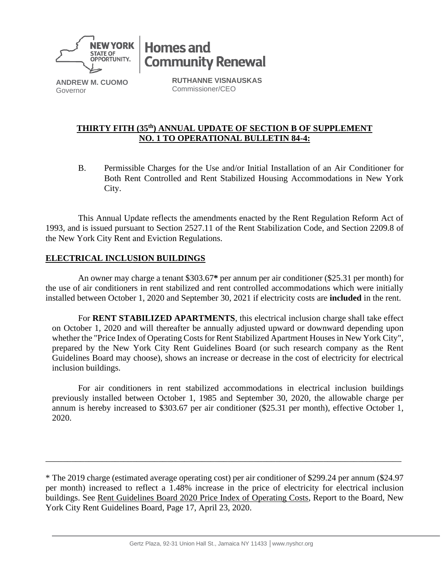

**Homes and Community Renewal** 

**ANDREW M. CUOMO** Governor

**RUTHANNE VISNAUSKAS** Commissioner/CEO

## **THIRTY FITH (35 th) ANNUAL UPDATE OF SECTION B OF SUPPLEMENT NO. 1 TO OPERATIONAL BULLETIN 84-4:**

B. Permissible Charges for the Use and/or Initial Installation of an Air Conditioner for Both Rent Controlled and Rent Stabilized Housing Accommodations in New York City.

This Annual Update reflects the amendments enacted by the Rent Regulation Reform Act of 1993, and is issued pursuant to Section 2527.11 of the Rent Stabilization Code, and Section 2209.8 of the New York City Rent and Eviction Regulations.

# **ELECTRICAL INCLUSION BUILDINGS**

An owner may charge a tenant \$303.67**\*** per annum per air conditioner (\$25.31 per month) for the use of air conditioners in rent stabilized and rent controlled accommodations which were initially installed between October 1, 2020 and September 30, 2021 if electricity costs are **included** in the rent.

For **RENT STABILIZED APARTMENTS**, this electrical inclusion charge shall take effect on October 1, 2020 and will thereafter be annually adjusted upward or downward depending upon whether the "Price Index of Operating Costs for Rent Stabilized Apartment Houses in New York City", prepared by the New York City Rent Guidelines Board (or such research company as the Rent Guidelines Board may choose), shows an increase or decrease in the cost of electricity for electrical inclusion buildings.

For air conditioners in rent stabilized accommodations in electrical inclusion buildings previously installed between October 1, 1985 and September 30, 2020, the allowable charge per annum is hereby increased to \$303.67 per air conditioner (\$25.31 per month), effective October 1, 2020.

\_\_\_\_\_\_\_\_\_\_\_\_\_\_\_\_\_\_\_\_\_\_\_\_\_\_\_\_\_\_\_\_\_\_\_\_\_\_\_\_\_\_\_\_\_\_\_\_\_\_\_\_\_\_\_\_\_\_\_\_\_\_\_\_\_\_\_\_\_\_\_\_\_\_\_\_\_\_\_\_\_\_

<sup>\*</sup> The 2019 charge (estimated average operating cost) per air conditioner of \$299.24 per annum (\$24.97 per month) increased to reflect a 1.48% increase in the price of electricity for electrical inclusion buildings. See Rent Guidelines Board 2020 Price Index of Operating Costs, Report to the Board, New York City Rent Guidelines Board, Page 17, April 23, 2020.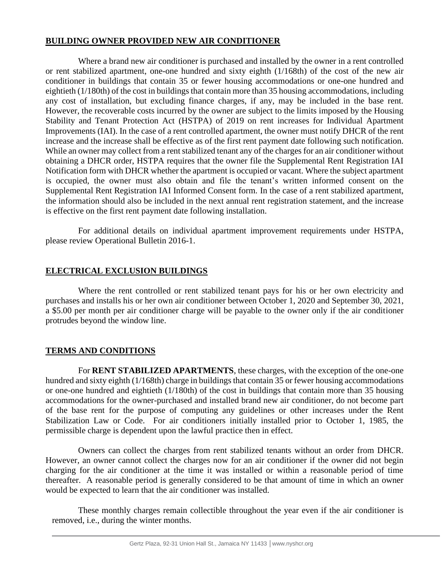### **BUILDING OWNER PROVIDED NEW AIR CONDITIONER**

Where a brand new air conditioner is purchased and installed by the owner in a rent controlled or rent stabilized apartment, one-one hundred and sixty eighth (1/168th) of the cost of the new air conditioner in buildings that contain 35 or fewer housing accommodations or one-one hundred and eightieth (1/180th) of the cost in buildings that contain more than 35 housing accommodations, including any cost of installation, but excluding finance charges, if any, may be included in the base rent. However, the recoverable costs incurred by the owner are subject to the limits imposed by the Housing Stability and Tenant Protection Act (HSTPA) of 2019 on rent increases for Individual Apartment Improvements (IAI). In the case of a rent controlled apartment, the owner must notify DHCR of the rent increase and the increase shall be effective as of the first rent payment date following such notification. While an owner may collect from a rent stabilized tenant any of the charges for an air conditioner without obtaining a DHCR order, HSTPA requires that the owner file the Supplemental Rent Registration IAI Notification form with DHCR whether the apartment is occupied or vacant. Where the subject apartment is occupied, the owner must also obtain and file the tenant's written informed consent on the Supplemental Rent Registration IAI Informed Consent form. In the case of a rent stabilized apartment, the information should also be included in the next annual rent registration statement, and the increase is effective on the first rent payment date following installation.

For additional details on individual apartment improvement requirements under HSTPA, please review Operational Bulletin 2016-1.

# **ELECTRICAL EXCLUSION BUILDINGS**

Where the rent controlled or rent stabilized tenant pays for his or her own electricity and purchases and installs his or her own air conditioner between October 1, 2020 and September 30, 2021, a \$5.00 per month per air conditioner charge will be payable to the owner only if the air conditioner protrudes beyond the window line.

## **TERMS AND CONDITIONS**

For **RENT STABILIZED APARTMENTS**, these charges, with the exception of the one-one hundred and sixty eighth (1/168th) charge in buildings that contain 35 or fewer housing accommodations or one-one hundred and eightieth (1/180th) of the cost in buildings that contain more than 35 housing accommodations for the owner-purchased and installed brand new air conditioner, do not become part of the base rent for the purpose of computing any guidelines or other increases under the Rent Stabilization Law or Code. For air conditioners initially installed prior to October 1, 1985, the permissible charge is dependent upon the lawful practice then in effect.

Owners can collect the charges from rent stabilized tenants without an order from DHCR. However, an owner cannot collect the charges now for an air conditioner if the owner did not begin charging for the air conditioner at the time it was installed or within a reasonable period of time thereafter. A reasonable period is generally considered to be that amount of time in which an owner would be expected to learn that the air conditioner was installed.

These monthly charges remain collectible throughout the year even if the air conditioner is removed, i.e., during the winter months.